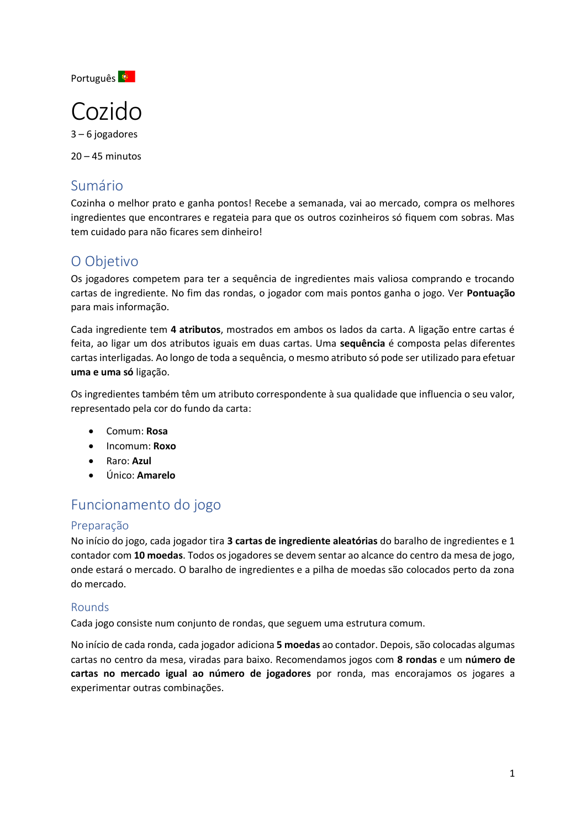Português <sup>S</sup>

# Cozido

3 – 6 jogadores

20 – 45 minutos

## Sumário

Cozinha o melhor prato e ganha pontos! Recebe a semanada, vai ao mercado, compra os melhores ingredientes que encontrares e regateia para que os outros cozinheiros só fiquem com sobras. Mas tem cuidado para não ficares sem dinheiro!

## O Objetivo

Os jogadores competem para ter a sequência de ingredientes mais valiosa comprando e trocando cartas de ingrediente. No fim das rondas, o jogador com mais pontos ganha o jogo. Ver **Pontuação**  para mais informação.

Cada ingrediente tem **4 atributos**, mostrados em ambos os lados da carta. A ligação entre cartas é feita, ao ligar um dos atributos iguais em duas cartas. Uma **sequência** é composta pelas diferentes cartas interligadas. Ao longo de toda a sequência, o mesmo atributo só pode ser utilizado para efetuar **uma e uma só** ligação.

Os ingredientes também têm um atributo correspondente à sua qualidade que influencia o seu valor, representado pela cor do fundo da carta:

- Comum: **Rosa**
- Incomum: **Roxo**
- Raro: **Azul**
- Único: **Amarelo**

# Funcionamento do jogo

### Preparação

No início do jogo, cada jogador tira **3 cartas de ingrediente aleatórias** do baralho de ingredientes e 1 contador com **10 moedas**. Todos os jogadores se devem sentar ao alcance do centro da mesa de jogo, onde estará o mercado. O baralho de ingredientes e a pilha de moedas são colocados perto da zona do mercado.

### Rounds

Cada jogo consiste num conjunto de rondas, que seguem uma estrutura comum.

No início de cada ronda, cada jogador adiciona **5 moedas** ao contador. Depois, são colocadas algumas cartas no centro da mesa, viradas para baixo. Recomendamos jogos com **8 rondas** e um **número de cartas no mercado igual ao número de jogadores** por ronda, mas encorajamos os jogares a experimentar outras combinações.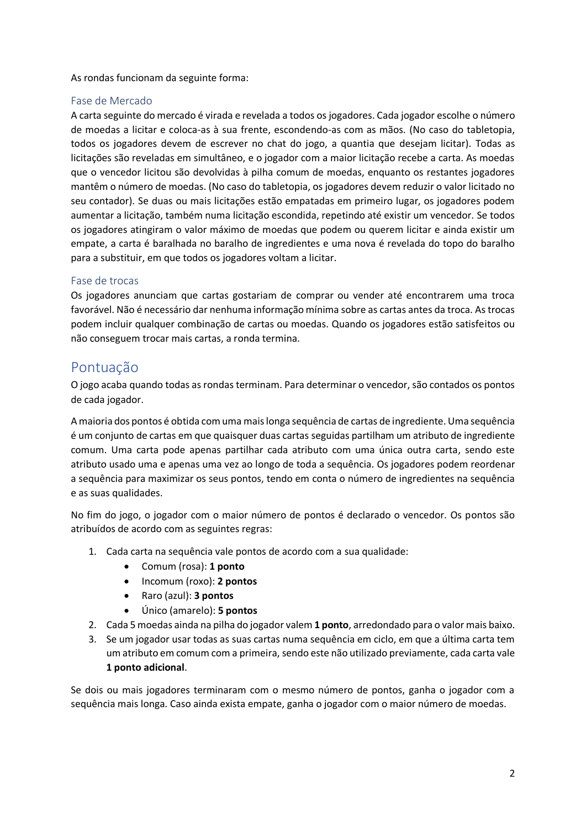As rondas funcionam da seguinte forma:

#### Fase de Mercado

A carta seguinte do mercado é virada e revelada a todos os jogadores. Cada jogador escolhe o número de moedas a licitar e coloca-as à sua frente, escondendo-as com as mãos. (No caso do tabletopia, todos os jogadores devem de escrever no chat do jogo, a quantia que desejam licitar). Todas as licitações são reveladas em simultâneo, e o jogador com a maior licitação recebe a carta. As moedas que o vencedor licitou são devolvidas à pilha comum de moedas, enquanto os restantes jogadores mantêm o número de moedas. (No caso do tabletopia, os jogadores devem reduzir o valor licitado no seu contador). Se duas ou mais licitações estão empatadas em primeiro lugar, os jogadores podem aumentar a licitação, também numa licitação escondida, repetindo até existir um vencedor. Se todos os jogadores atingiram o valor máximo de moedas que podem ou querem licitar e ainda existir um empate, a carta é baralhada no baralho de ingredientes e uma nova é revelada do topo do baralho para a substituir, em que todos os jogadores voltam a licitar.

#### Fase de trocas

Os jogadores anunciam que cartas gostariam de comprar ou vender até encontrarem uma troca favorável. Não é necessário dar nenhuma informação mínima sobre as cartas antes da troca. As trocas podem incluir qualquer combinação de cartas ou moedas. Quando os jogadores estão satisfeitos ou não conseguem trocar mais cartas, a ronda termina.

## Pontuação

O jogo acaba quando todas as rondas terminam. Para determinar o vencedor, são contados os pontos de cada jogador.

A maioria dos pontos é obtida com uma mais longa sequência de cartas de ingrediente. Uma sequência é um conjunto de cartas em que quaisquer duas cartas seguidas partilham um atributo de ingrediente comum. Uma carta pode apenas partilhar cada atributo com uma única outra carta, sendo este atributo usado uma e apenas uma vez ao longo de toda a sequência. Os jogadores podem reordenar a sequência para maximizar os seus pontos, tendo em conta o número de ingredientes na sequência e as suas qualidades.

No fim do jogo, o jogador com o maior número de pontos é declarado o vencedor. Os pontos são atribuídos de acordo com as seguintes regras:

- 1. Cada carta na sequência vale pontos de acordo com a sua qualidade:
	- Comum (rosa): **1 ponto**
	- Incomum (roxo): **2 pontos**
	- Raro (azul): **3 pontos**
	- Único (amarelo): **5 pontos**
- 2. Cada 5 moedas ainda na pilha do jogador valem **1 ponto**, arredondado para o valor mais baixo.
- 3. Se um jogador usar todas as suas cartas numa sequência em ciclo, em que a última carta tem um atributo em comum com a primeira, sendo este não utilizado previamente, cada carta vale **1 ponto adicional**.

Se dois ou mais jogadores terminaram com o mesmo número de pontos, ganha o jogador com a sequência mais longa. Caso ainda exista empate, ganha o jogador com o maior número de moedas.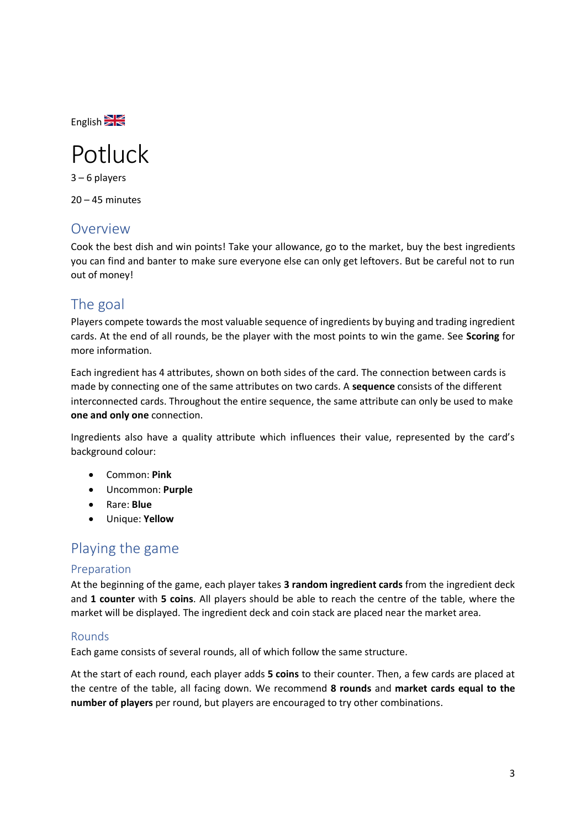English<sup>SK</sup>

# Potluck

3 – 6 players  $20 - 45$  minutes

## Overview

Cook the best dish and win points! Take your allowance, go to the market, buy the best ingredients you can find and banter to make sure everyone else can only get leftovers. But be careful not to run out of money!

# The goal

Players compete towards the most valuable sequence of ingredients by buying and trading ingredient cards. At the end of all rounds, be the player with the most points to win the game. See **Scoring** for more information.

Each ingredient has 4 attributes, shown on both sides of the card. The connection between cards is made by connecting one of the same attributes on two cards. A **sequence** consists of the different interconnected cards. Throughout the entire sequence, the same attribute can only be used to make **one and only one** connection.

Ingredients also have a quality attribute which influences their value, represented by the card's background colour:

- Common: **Pink**
- Uncommon: **Purple**
- Rare: **Blue**
- Unique: **Yellow**

## Playing the game

#### Preparation

At the beginning of the game, each player takes **3 random ingredient cards** from the ingredient deck and **1 counter** with **5 coins**. All players should be able to reach the centre of the table, where the market will be displayed. The ingredient deck and coin stack are placed near the market area.

### Rounds

Each game consists of several rounds, all of which follow the same structure.

At the start of each round, each player adds **5 coins** to their counter. Then, a few cards are placed at the centre of the table, all facing down. We recommend **8 rounds** and **market cards equal to the number of players** per round, but players are encouraged to try other combinations.